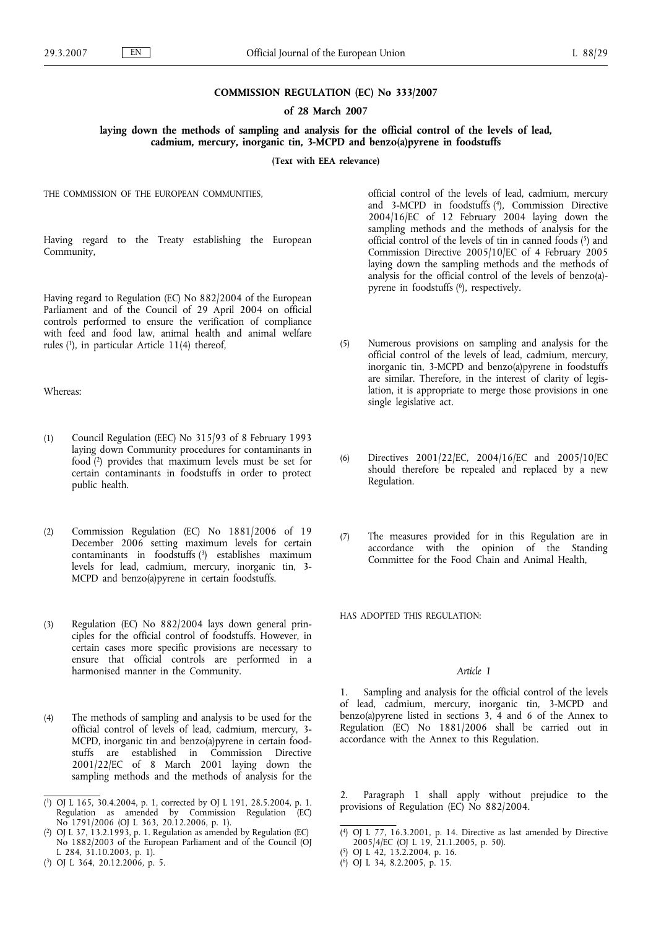### **COMMISSION REGULATION (EC) No 333/2007**

## **of 28 March 2007**

**laying down the methods of sampling and analysis for the official control of the levels of lead, cadmium, mercury, inorganic tin, 3-MCPD and benzo(a)pyrene in foodstuffs**

**(Text with EEA relevance)**

THE COMMISSION OF THE EUROPEAN COMMUNITIES,

Having regard to the Treaty establishing the European Community,

Having regard to Regulation (EC) No 882/2004 of the European Parliament and of the Council of 29 April 2004 on official controls performed to ensure the verification of compliance with feed and food law, animal health and animal welfare rules (1), in particular Article 11(4) thereof,

Whereas:

- (1) Council Regulation (EEC) No 315/93 of 8 February 1993 laying down Community procedures for contaminants in food (2) provides that maximum levels must be set for certain contaminants in foodstuffs in order to protect public health.
- (2) Commission Regulation (EC) No 1881/2006 of 19 December 2006 setting maximum levels for certain contaminants in foodstuffs (3) establishes maximum levels for lead, cadmium, mercury, inorganic tin, 3- MCPD and benzo(a)pyrene in certain foodstuffs.
- (3) Regulation (EC) No 882/2004 lays down general principles for the official control of foodstuffs. However, in certain cases more specific provisions are necessary to ensure that official controls are performed in a harmonised manner in the Community.
- (4) The methods of sampling and analysis to be used for the official control of levels of lead, cadmium, mercury, 3- MCPD, inorganic tin and benzo(a)pyrene in certain foodstuffs are established in Commission Directive 2001/22/EC of 8 March 2001 laying down the sampling methods and the methods of analysis for the

( 3) OJ L 364, 20.12.2006, p. 5.

official control of the levels of lead, cadmium, mercury and 3-MCPD in foodstuffs (4), Commission Directive 2004/16/EC of 12 February 2004 laying down the sampling methods and the methods of analysis for the official control of the levels of tin in canned foods (5) and Commission Directive 2005/10/EC of 4 February 2005 laying down the sampling methods and the methods of analysis for the official control of the levels of benzo(a) pyrene in foodstuffs (<sup>6</sup>), respectively.

- (5) Numerous provisions on sampling and analysis for the official control of the levels of lead, cadmium, mercury, inorganic tin, 3-MCPD and benzo(a)pyrene in foodstuffs are similar. Therefore, in the interest of clarity of legislation, it is appropriate to merge those provisions in one single legislative act.
- (6) Directives 2001/22/EC, 2004/16/EC and 2005/10/EC should therefore be repealed and replaced by a new Regulation.
- (7) The measures provided for in this Regulation are in accordance with the opinion of the Standing Committee for the Food Chain and Animal Health,

HAS ADOPTED THIS REGULATION:

### *Article 1*

1. Sampling and analysis for the official control of the levels of lead, cadmium, mercury, inorganic tin, 3-MCPD and benzo(a)pyrene listed in sections 3, 4 and 6 of the Annex to Regulation (EC) No 1881/2006 shall be carried out in accordance with the Annex to this Regulation.

Paragraph 1 shall apply without prejudice to the provisions of Regulation (EC) No 882/2004.

<sup>(</sup> 1) OJ L 165, 30.4.2004, p. 1, corrected by OJ L 191, 28.5.2004, p. 1. Regulation as amended by Commission Regulation (EC) No 1791/2006 (OJ L 363, 20.12.2006, p. 1).

<sup>(</sup> 2) OJ L 37, 13.2.1993, p. 1. Regulation as amended by Regulation (EC) No 1882/2003 of the European Parliament and of the Council (OJ L 284, 31.10.2003, p. 1).

<sup>(</sup> 4) OJ L 77, 16.3.2001, p. 14. Directive as last amended by Directive 2005/4/EC (OJ L 19, 21.1.2005, p. 50).

<sup>(</sup> 5) OJ L 42, 13.2.2004, p. 16.

<sup>(</sup> 6) OJ L 34, 8.2.2005, p. 15.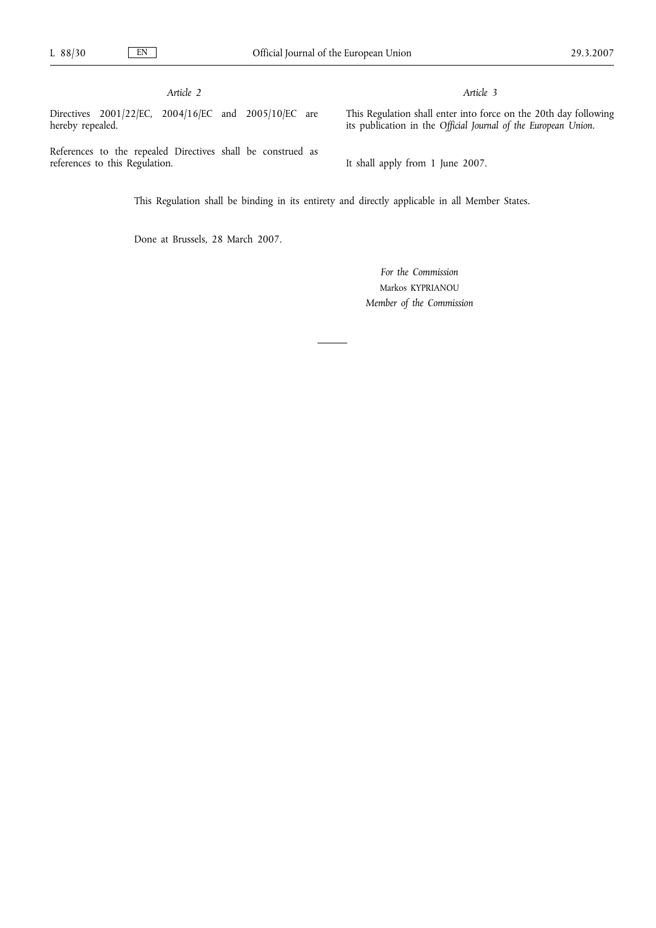*Article 2*

Directives 2001/22/EC, 2004/16/EC and 2005/10/EC are hereby repealed.

*Article 3*

This Regulation shall enter into force on the 20th day following its publication in the *Official Journal of the European Union.*

References to the repealed Directives shall be construed as references to this Regulation.

It shall apply from 1 June 2007.

This Regulation shall be binding in its entirety and directly applicable in all Member States.

Done at Brussels, 28 March 2007.

*For the Commission* Markos KYPRIANOU *Member of the Commission*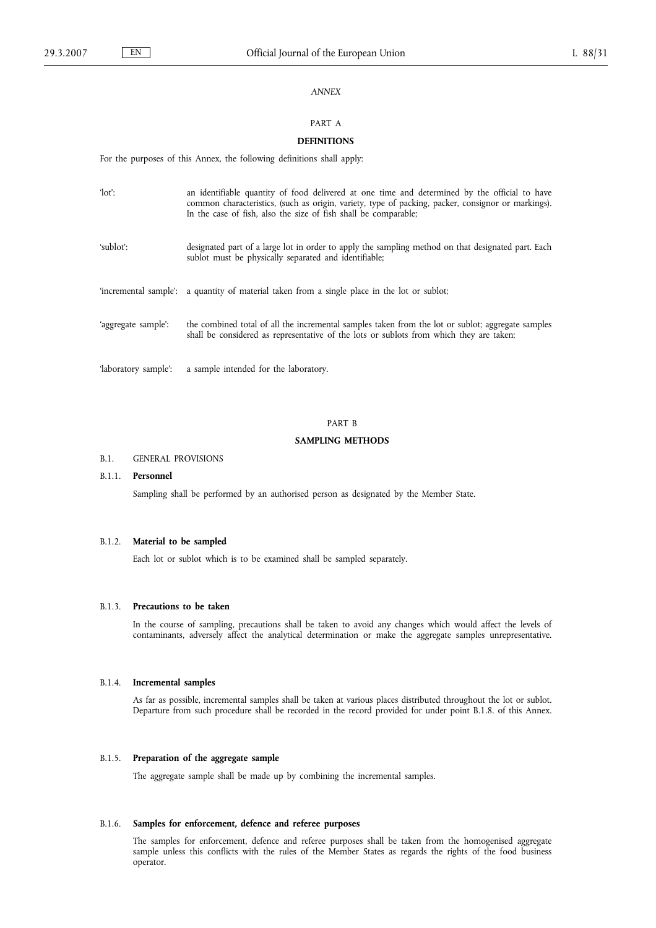# *ANNEX*

# PART A

# **DEFINITIONS**

For the purposes of this Annex, the following definitions shall apply:

| $\text{def}:$        | an identifiable quantity of food delivered at one time and determined by the official to have<br>common characteristics, (such as origin, variety, type of packing, packer, consignor or markings).<br>In the case of fish, also the size of fish shall be comparable; |
|----------------------|------------------------------------------------------------------------------------------------------------------------------------------------------------------------------------------------------------------------------------------------------------------------|
| 'sublot':            | designated part of a large lot in order to apply the sampling method on that designated part. Each<br>sublot must be physically separated and identifiable;                                                                                                            |
|                      | 'incremental sample': a quantity of material taken from a single place in the lot or sublot;                                                                                                                                                                           |
| 'aggregate sample':  | the combined total of all the incremental samples taken from the lot or sublot; aggregate samples<br>shall be considered as representative of the lots or sublots from which they are taken;                                                                           |
| 'laboratory sample': | a sample intended for the laboratory.                                                                                                                                                                                                                                  |

### PART B

# **SAMPLING METHODS**

#### B.1. GENERAL PROVISIONS

## B.1.1. **Personnel**

Sampling shall be performed by an authorised person as designated by the Member State.

# B.1.2. **Material to be sampled**

Each lot or sublot which is to be examined shall be sampled separately.

#### B.1.3. **Precautions to be taken**

In the course of sampling, precautions shall be taken to avoid any changes which would affect the levels of contaminants, adversely affect the analytical determination or make the aggregate samples unrepresentative.

#### B.1.4. **Incremental samples**

As far as possible, incremental samples shall be taken at various places distributed throughout the lot or sublot. Departure from such procedure shall be recorded in the record provided for under point B.1.8. of this Annex.

# B.1.5. **Preparation of the aggregate sample**

The aggregate sample shall be made up by combining the incremental samples.

# B.1.6. **Samples for enforcement, defence and referee purposes**

The samples for enforcement, defence and referee purposes shall be taken from the homogenised aggregate sample unless this conflicts with the rules of the Member States as regards the rights of the food business operator.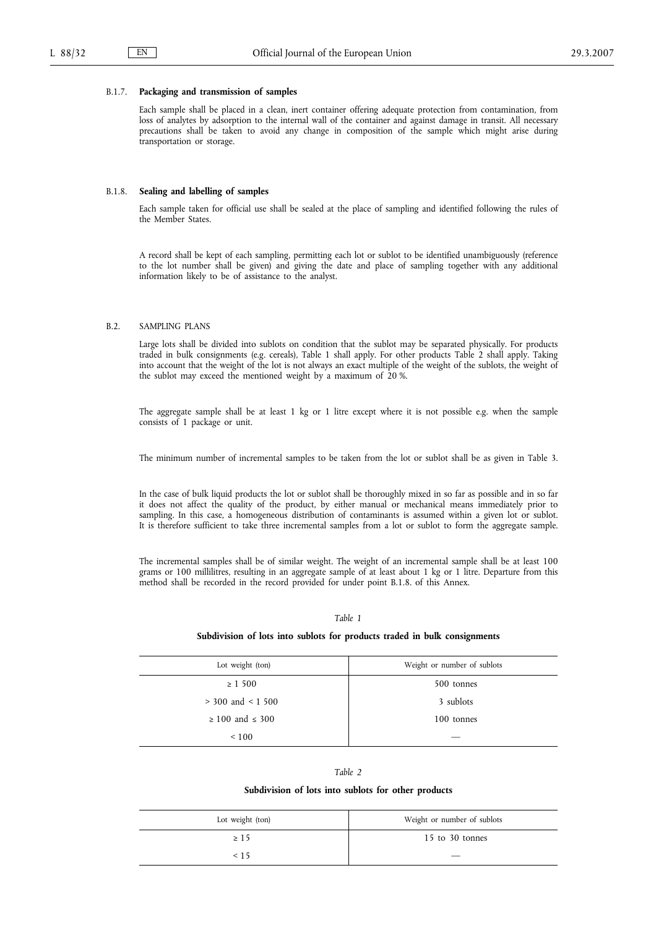#### B.1.7. **Packaging and transmission of samples**

Each sample shall be placed in a clean, inert container offering adequate protection from contamination, from loss of analytes by adsorption to the internal wall of the container and against damage in transit. All necessary precautions shall be taken to avoid any change in composition of the sample which might arise during transportation or storage.

## B.1.8. **Sealing and labelling of samples**

Each sample taken for official use shall be sealed at the place of sampling and identified following the rules of the Member States.

A record shall be kept of each sampling, permitting each lot or sublot to be identified unambiguously (reference to the lot number shall be given) and giving the date and place of sampling together with any additional information likely to be of assistance to the analyst.

#### B.2. SAMPLING PLANS

Large lots shall be divided into sublots on condition that the sublot may be separated physically. For products traded in bulk consignments (e.g. cereals), Table 1 shall apply. For other products Table 2 shall apply. Taking into account that the weight of the lot is not always an exact multiple of the weight of the sublots, the weight of the sublot may exceed the mentioned weight by a maximum of 20 %.

The aggregate sample shall be at least 1 kg or 1 litre except where it is not possible e.g. when the sample consists of 1 package or unit.

The minimum number of incremental samples to be taken from the lot or sublot shall be as given in Table 3.

In the case of bulk liquid products the lot or sublot shall be thoroughly mixed in so far as possible and in so far it does not affect the quality of the product, by either manual or mechanical means immediately prior to sampling. In this case, a homogeneous distribution of contaminants is assumed within a given lot or sublot. It is therefore sufficient to take three incremental samples from a lot or sublot to form the aggregate sample.

The incremental samples shall be of similar weight. The weight of an incremental sample shall be at least 100 grams or 100 millilitres, resulting in an aggregate sample of at least about 1 kg or 1 litre. Departure from this method shall be recorded in the record provided for under point B.1.8. of this Annex.

#### *Table 1*

#### **Subdivision of lots into sublots for products traded in bulk consignments**

| Lot weight (ton)          | Weight or number of sublots |
|---------------------------|-----------------------------|
| $\geq 1500$               | 500 tonnes                  |
| $>$ 300 and $<$ 1 500     | 3 sublots                   |
| $\geq 100$ and $\leq 300$ | 100 tonnes                  |
| ${}_{\leq 100}$           |                             |

#### *Table 2*

#### **Subdivision of lots into sublots for other products**

| Lot weight (ton) | Weight or number of sublots |
|------------------|-----------------------------|
| $\geq 15$        | 15 to 30 tonnes             |
| < 15             |                             |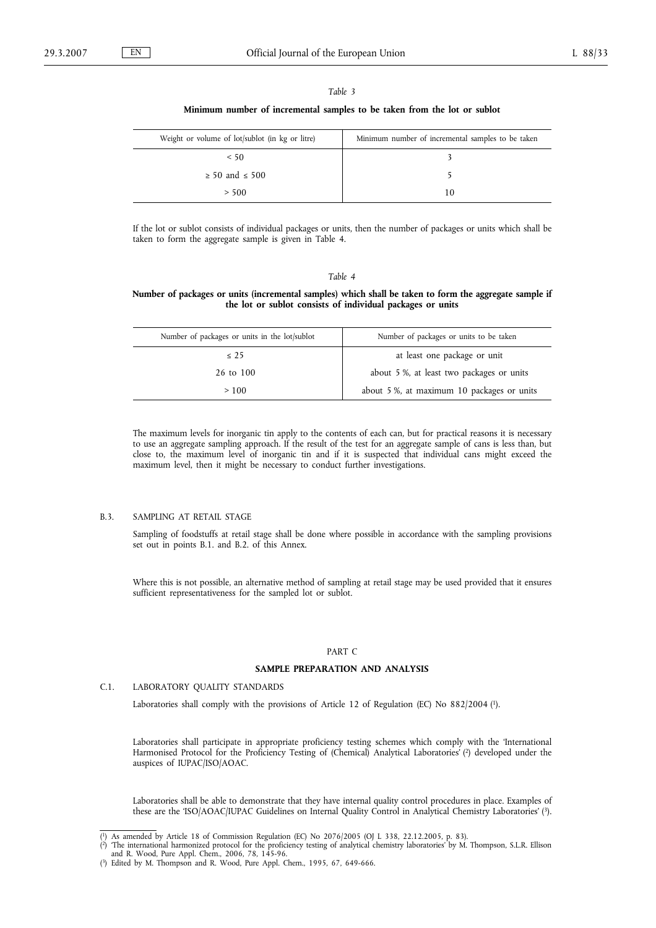| ,, |  |
|----|--|
|----|--|

#### **Minimum number of incremental samples to be taken from the lot or sublot**

| Weight or volume of lot/sublot (in kg or litre) | Minimum number of incremental samples to be taken |
|-------------------------------------------------|---------------------------------------------------|
| < 50                                            |                                                   |
| $\geq 50$ and $\leq 500$                        |                                                   |
| > 500                                           | 10                                                |

If the lot or sublot consists of individual packages or units, then the number of packages or units which shall be taken to form the aggregate sample is given in Table 4.

#### *Table 4*

## **Number of packages or units (incremental samples) which shall be taken to form the aggregate sample if the lot or sublot consists of individual packages or units**

| Number of packages or units in the lot/sublot | Number of packages or units to be taken   |
|-----------------------------------------------|-------------------------------------------|
| $\leq$ 25                                     | at least one package or unit              |
| 26 to 100                                     | about 5 %, at least two packages or units |
| >100                                          | about 5%, at maximum 10 packages or units |

The maximum levels for inorganic tin apply to the contents of each can, but for practical reasons it is necessary to use an aggregate sampling approach. If the result of the test for an aggregate sample of cans is less than, but close to, the maximum level of inorganic tin and if it is suspected that individual cans might exceed the maximum level, then it might be necessary to conduct further investigations.

## B.3. SAMPLING AT RETAIL STAGE

Sampling of foodstuffs at retail stage shall be done where possible in accordance with the sampling provisions set out in points B.1. and B.2. of this Annex.

Where this is not possible, an alternative method of sampling at retail stage may be used provided that it ensures sufficient representativeness for the sampled lot or sublot.

#### PART C

# **SAMPLE PREPARATION AND ANALYSIS**

# C.1. LABORATORY QUALITY STANDARDS

Laboratories shall comply with the provisions of Article 12 of Regulation (EC) No 882/2004 (1).

Laboratories shall participate in appropriate proficiency testing schemes which comply with the 'International Harmonised Protocol for the Proficiency Testing of (Chemical) Analytical Laboratories' ( 2) developed under the auspices of IUPAC/ISO/AOAC.

Laboratories shall be able to demonstrate that they have internal quality control procedures in place. Examples of these are the 'ISO/AOAC/IUPAC Guidelines on Internal Quality Control in Analytical Chemistry Laboratories' ( 3).

<sup>(\*)</sup> As amended by Article 18 of Commission Regulation (EC) No 2076/2005 (OJ L 338, 22.12.2005, p. 83).<br>(\*) The international harmonized protocol for the proficiency testing of analytical chemistry laboratories' by M. Thomp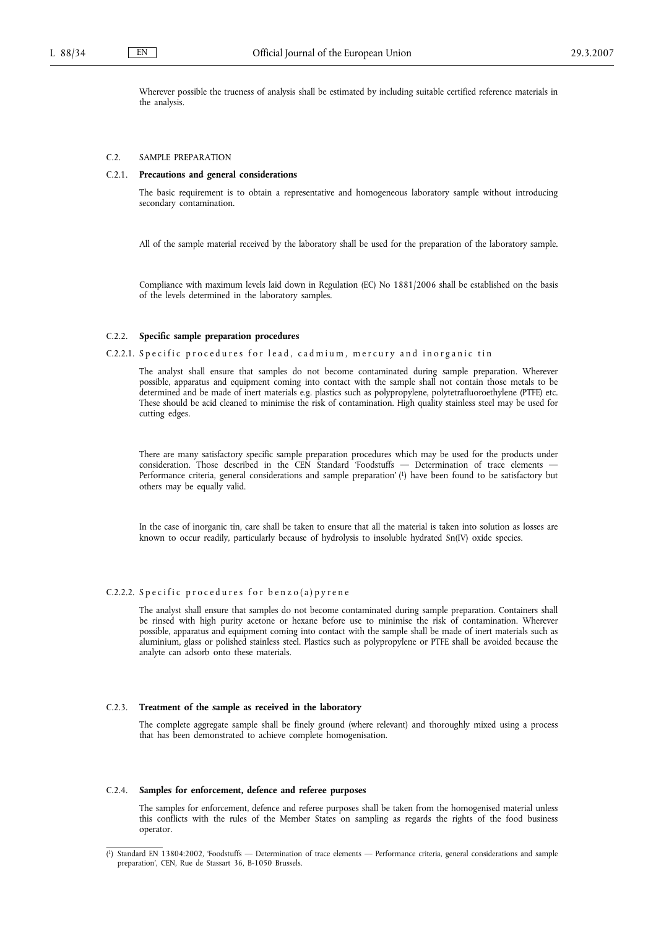Wherever possible the trueness of analysis shall be estimated by including suitable certified reference materials in the analysis.

#### C.2. SAMPLE PREPARATION

#### C.2.1. **Precautions and general considerations**

The basic requirement is to obtain a representative and homogeneous laboratory sample without introducing secondary contamination.

All of the sample material received by the laboratory shall be used for the preparation of the laboratory sample.

Compliance with maximum levels laid down in Regulation (EC) No 1881/2006 shall be established on the basis of the levels determined in the laboratory samples.

#### C.2.2. **Specific sample preparation procedures**

### C.2.2.1. Specific procedures for lead, cadmium, mercury and inorganic tin

The analyst shall ensure that samples do not become contaminated during sample preparation. Wherever possible, apparatus and equipment coming into contact with the sample shall not contain those metals to be determined and be made of inert materials e.g. plastics such as polypropylene, polytetrafluoroethylene (PTFE) etc. These should be acid cleaned to minimise the risk of contamination. High quality stainless steel may be used for cutting edges.

There are many satisfactory specific sample preparation procedures which may be used for the products under consideration. Those described in the CEN Standard 'Foodstuffs — Determination of trace elements — Performance criteria, general considerations and sample preparation' (1) have been found to be satisfactory but others may be equally valid.

In the case of inorganic tin, care shall be taken to ensure that all the material is taken into solution as losses are known to occur readily, particularly because of hydrolysis to insoluble hydrated Sn(IV) oxide species.

## C.2.2.2. Specific procedures for  $benzo(a)pyren$ e

The analyst shall ensure that samples do not become contaminated during sample preparation. Containers shall be rinsed with high purity acetone or hexane before use to minimise the risk of contamination. Wherever possible, apparatus and equipment coming into contact with the sample shall be made of inert materials such as aluminium, glass or polished stainless steel. Plastics such as polypropylene or PTFE shall be avoided because the analyte can adsorb onto these materials.

### C.2.3. **Treatment of the sample as received in the laboratory**

The complete aggregate sample shall be finely ground (where relevant) and thoroughly mixed using a process that has been demonstrated to achieve complete homogenisation.

#### C.2.4. **Samples for enforcement, defence and referee purposes**

The samples for enforcement, defence and referee purposes shall be taken from the homogenised material unless this conflicts with the rules of the Member States on sampling as regards the rights of the food business operator.

<sup>(</sup> 1) Standard EN 13804:2002, 'Foodstuffs — Determination of trace elements — Performance criteria, general considerations and sample preparation', CEN, Rue de Stassart 36, B-1050 Brussels.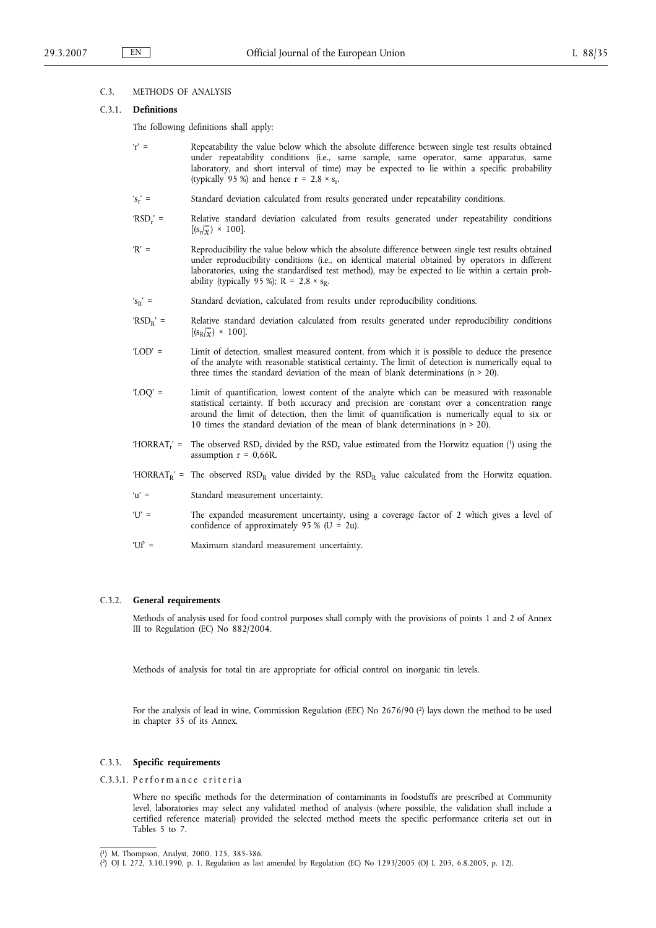## C.3. METHODS OF ANALYSIS

## C.3.1. **Definitions**

The following definitions shall apply:

- 'r' = Repeatability the value below which the absolute difference between single test results obtained under repeatability conditions (i.e., same sample, same operator, same apparatus, same laboratory, and short interval of time) may be expected to lie within a specific probability (typically 95 %) and hence  $r = 2.8 \times s_r$ .
- 'sr' = Standard deviation calculated from results generated under repeatability conditions.
- 'RSDr' = Relative standard deviation calculated from results generated under repeatability conditions  $[(s_r/\overline{x}) \times 100].$
- 'R' = Reproducibility the value below which the absolute difference between single test results obtained under reproducibility conditions (i.e., on identical material obtained by operators in different laboratories, using the standardised test method), may be expected to lie within a certain probability (typically 95 %);  $R = 2.8 \times s_R$ .
- $s_R'$  = Standard deviation, calculated from results under reproducibility conditions.
- 'RSDR' = Relative standard deviation calculated from results generated under reproducibility conditions  $[(s_R/\overline{x}) \times 100]$ .
- 'LOD' = Limit of detection, smallest measured content, from which it is possible to deduce the presence of the analyte with reasonable statistical certainty. The limit of detection is numerically equal to three times the standard deviation of the mean of blank determinations ( $n > 20$ ).
- 'LOQ' = Limit of quantification, lowest content of the analyte which can be measured with reasonable statistical certainty. If both accuracy and precision are constant over a concentration range around the limit of detection, then the limit of quantification is numerically equal to six or 10 times the standard deviation of the mean of blank determinations ( $n > 20$ ).
- 'HORRAT<sub>r</sub>' = The observed RSD<sub>r</sub> divided by the RSD<sub>r</sub> value estimated from the Horwitz equation (1) using the assumption  $r = 0.66R$ .
- 'HORRAT<sub>R</sub>' = The observed RSD<sub>R</sub> value divided by the  $RSD_R$  value calculated from the Horwitz equation.
- 'u' = Standard measurement uncertainty.
- 'U' = The expanded measurement uncertainty, using a coverage factor of 2 which gives a level of confidence of approximately 95 % ( $U = 2u$ ).
- 'Uf' = Maximum standard measurement uncertainty.

#### C.3.2. **General requirements**

Methods of analysis used for food control purposes shall comply with the provisions of points 1 and 2 of Annex III to Regulation (EC) No 882/2004.

Methods of analysis for total tin are appropriate for official control on inorganic tin levels.

For the analysis of lead in wine, Commission Regulation (EEC) No 2676/90 (2) lays down the method to be used in chapter 35 of its Annex.

### C.3.3. **Specific requirements**

C.3.3.1. Performance criteria

Where no specific methods for the determination of contaminants in foodstuffs are prescribed at Community level, laboratories may select any validated method of analysis (where possible, the validation shall include a certified reference material) provided the selected method meets the specific performance criteria set out in Tables 5 to 7.

<sup>(</sup> 1) M. Thompson, Analyst, 2000, 125, 385-386.

<sup>(</sup> 2) OJ L 272, 3.10.1990, p. 1. Regulation as last amended by Regulation (EC) No 1293/2005 (OJ L 205, 6.8.2005, p. 12).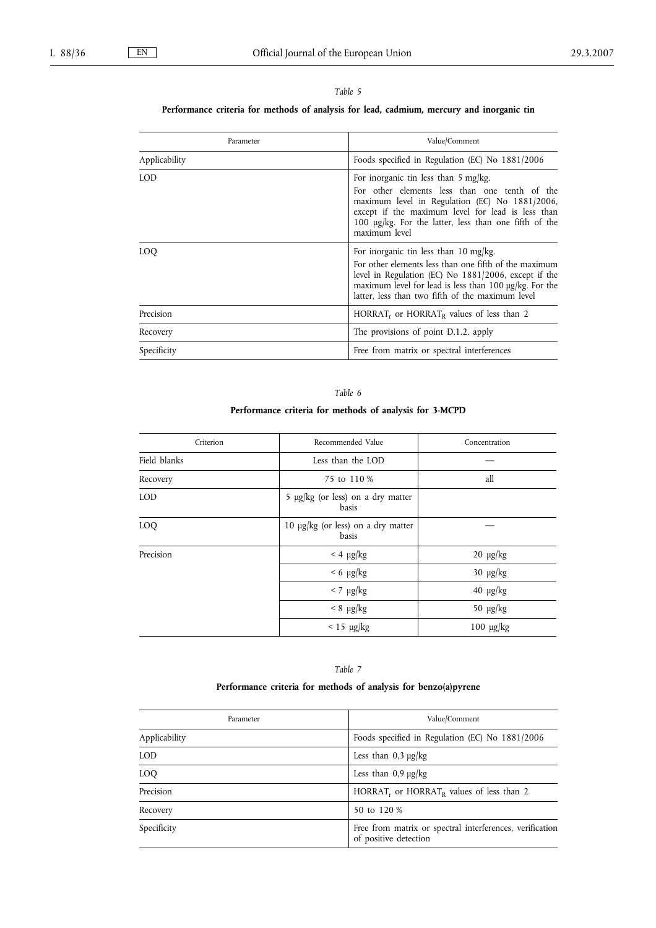# *Table 5*

# **Performance criteria for methods of analysis for lead, cadmium, mercury and inorganic tin**

| Parameter     | Value/Comment                                                                                                                                                                                                                                                                     |
|---------------|-----------------------------------------------------------------------------------------------------------------------------------------------------------------------------------------------------------------------------------------------------------------------------------|
| Applicability | Foods specified in Regulation (EC) No 1881/2006                                                                                                                                                                                                                                   |
| LOD           | For inorganic tin less than $5 \text{ mg/kg}$ .<br>For other elements less than one tenth of the<br>maximum level in Regulation (EC) No 1881/2006,<br>except if the maximum level for lead is less than<br>100 µg/kg. For the latter, less than one fifth of the<br>maximum level |
| LOQ           | For inorganic tin less than 10 mg/kg.<br>For other elements less than one fifth of the maximum<br>level in Regulation (EC) No 1881/2006, except if the<br>maximum level for lead is less than $100 \mu g/kg$ . For the<br>latter, less than two fifth of the maximum level        |
| Precision     | HORRAT <sub>r</sub> or HORRAT <sub>R</sub> values of less than 2                                                                                                                                                                                                                  |
| Recovery      | The provisions of point D.1.2. apply                                                                                                                                                                                                                                              |
| Specificity   | Free from matrix or spectral interferences                                                                                                                                                                                                                                        |

# *Table 6*

# **Performance criteria for methods of analysis for 3-MCPD**

| Criterion    | Recommended Value                                | Concentration             |
|--------------|--------------------------------------------------|---------------------------|
| Field blanks | Less than the LOD                                |                           |
| Recovery     | 75 to 110 %                                      | all                       |
| LOD          | 5 µg/kg (or less) on a dry matter<br>basis       |                           |
| LOQ          | 10 $\mu$ g/kg (or less) on a dry matter<br>basis |                           |
| Precision    | $<$ 4 $\mu$ g/kg                                 | $20 \text{ \textmu g/kg}$ |
|              | $< 6$ µg/kg                                      | $30 \text{ \textmu g/kg}$ |
|              | $<$ 7 $\mu$ g/kg                                 | $40 \text{ µg/kg}$        |
|              | $< 8 \mu g/kg$                                   | $50 \text{ \textmu g/kg}$ |
|              | $< 15 \mu g/kg$                                  | $100 \text{ µg/kg}$       |

# *Table 7*

# **Performance criteria for methods of analysis for benzo(a)pyrene**

| Parameter     | Value/Comment                                                                     |
|---------------|-----------------------------------------------------------------------------------|
| Applicability | Foods specified in Regulation (EC) No 1881/2006                                   |
| LOD.          | Less than $0.3 \mu g/kg$                                                          |
| LOQ           | Less than $0.9 \mu g/kg$                                                          |
| Precision     | HORRAT <sub>r</sub> or HORRAT <sub>R</sub> values of less than 2                  |
| Recovery      | 50 to 120 %                                                                       |
| Specificity   | Free from matrix or spectral interferences, verification<br>of positive detection |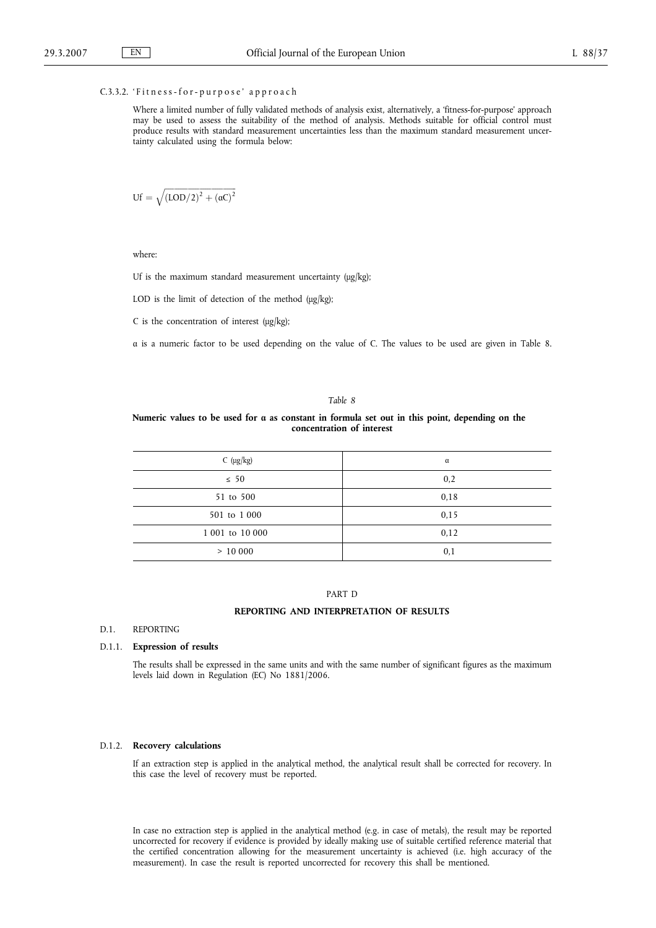## C.3.3.2. 'Fitness-for-purpose' approach

Where a limited number of fully validated methods of analysis exist, alternatively, a 'fitness-for-purpose' approach may be used to assess the suitability of the method of analysis. Methods suitable for official control must produce results with standard measurement uncertainties less than the maximum standard measurement uncertainty calculated using the formula below:

$$
Uf = \sqrt{(LOD/2)^2 + (\alpha C)^2}
$$

ffiffiffiffiffiffiffiffiffiffiffiffiffiffiffiffiffiffiffiffiffiffiffiffiffiffiffiffiffiffiffiffiffiffiffiffi

where:

Uf is the maximum standard measurement uncertainty (μg/kg);

LOD is the limit of detection of the method (μg/kg);

C is the concentration of interest (μg/kg);

α is a numeric factor to be used depending on the value of C. The values to be used are given in Table 8.

## *Table 8*

## **Numeric values to be used for α as constant in formula set out in this point, depending on the concentration of interest**

| C $(\mu g/kg)$  | α    |
|-----------------|------|
| $\leq 50$       | 0,2  |
| 51 to 500       | 0,18 |
| 501 to 1 000    | 0,15 |
| 1 001 to 10 000 | 0,12 |
| >10000          | 0,1  |

## PART D

## **REPORTING AND INTERPRETATION OF RESULTS**

### D.1. REPORTING

### D.1.1. **Expression of results**

The results shall be expressed in the same units and with the same number of significant figures as the maximum levels laid down in Regulation (EC) No 1881/2006.

# D.1.2. **Recovery calculations**

If an extraction step is applied in the analytical method, the analytical result shall be corrected for recovery. In this case the level of recovery must be reported.

In case no extraction step is applied in the analytical method (e.g. in case of metals), the result may be reported uncorrected for recovery if evidence is provided by ideally making use of suitable certified reference material that the certified concentration allowing for the measurement uncertainty is achieved (i.e. high accuracy of the measurement). In case the result is reported uncorrected for recovery this shall be mentioned.